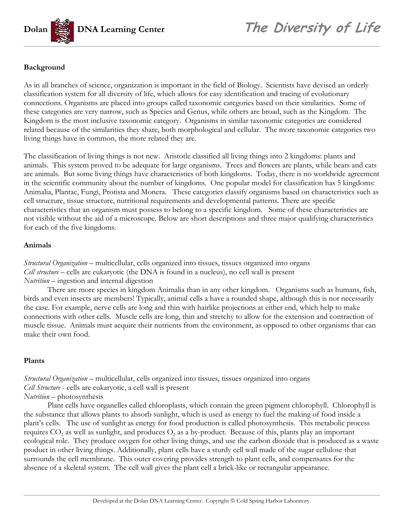

### **Background**

As in all branches of science, organization is important in the field of Biology. Scientists have devised an orderly classification system for all diversity of life, which allows for easy identification and tracing of evolutionary connections. Organisms are placed into groups called taxonomic categories based on their similarities. Some of these categories are very narrow, such as Species and Genus, while others are broad, such as the Kingdom. The Kingdom is the most inclusive taxonomic category. Organisms in similar taxonomic categories are considered related because of the similarities they share, both morphological and cellular. The more taxonomic categories two living things have in common, the more related they are.

The classification of living things is not new. Aristotle classified all living things into 2 kingdoms: plants and animals. This system proved to be adequate for large organisms. Trees and flowers are plants, while bears and cats are animals. But some living things have characteristics of both kingdoms. Today, there is no worldwide agreement in the scientific community about the number of kingdoms. One popular model for classification has 5 kingdoms: Animalia, Plantae, Fungi, Protista and Monera. These categories classify organisms based on characteristics such as cell structure, tissue structure, nutritional requirements and developmental patterns. There are specific characteristics that an organism must possess to belong to a specific kingdom. Some of these characteristics are not visible without the aid of a microscope. Below are short descriptions and three major qualifying characteristics for each of the five kingdoms.

#### **Animals**

*Structural Organization* – multicellular, cells organized into tissues, tissues organized into organs *Cell structure* – cells are eukaryotic (the DNA is found in a nucleus), no cell wall is present *Nutrition* – ingestion and internal digestion

 There are more species in kingdom Animalia than in any other kingdom. Organisms such as humans, fish, birds and even insects are members! Typically, animal cells a have a rounded shape, although this is not necessarily the case. For example, nerve cells are long and thin with hairlike projections at either end, which help to make connections with other cells. Muscle cells are long, thin and stretchy to allow for the extension and contraction of muscle tissue. Animals must acquire their nutrients from the environment, as opposed to other organisms that can make their own food.

#### **Plants**

*Structural Organization* – multicellular, cells organized into tissues, tissues organized into organs *Cell Structure* - cells are eukaryotic, a cell wall is present *Nutrition* – photosynthesis

 Plant cells have organelles called chloroplasts, which contain the green pigment chlorophyll. Chlorophyll is the substance that allows plants to absorb sunlight, which is used as energy to fuel the making of food inside a plant's cells. The use of sunlight as energy for food production is called photosynthesis. This metabolic process requires  $CO<sub>2</sub>$  as well as sunlight, and produces  $O<sub>2</sub>$  as a by-product. Because of this, plants play an important ecological role. They produce oxygen for other living things, and use the carbon dioxide that is produced as a waste product in other living things. Additionally, plant cells have a sturdy cell wall made of the sugar cellulose that surrounds the cell membrane. This outer covering provides strength to plant cells, and compensates for the absence of a skeletal system. The cell wall gives the plant cell a brick-like or rectangular appearance.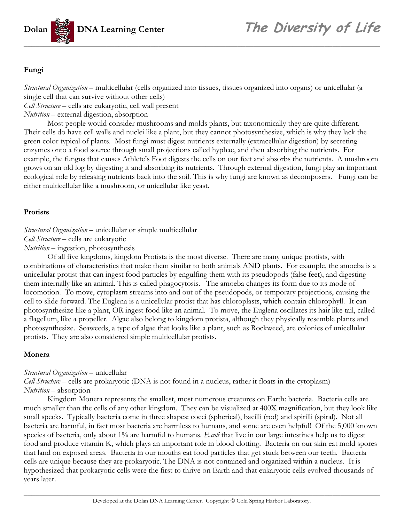

#### **Fungi**

*Structural Organization* – multicellular (cells organized into tissues, tissues organized into organs) or unicellular (a single cell that can survive without other cells)

*Cell Structure* – cells are eukaryotic, cell wall present

*Nutrition* – external digestion, absorption

 Most people would consider mushrooms and molds plants, but taxonomically they are quite different. Their cells do have cell walls and nuclei like a plant, but they cannot photosynthesize, which is why they lack the green color typical of plants. Most fungi must digest nutrients externally (extracellular digestion) by secreting enzymes onto a food source through small projections called hyphae, and then absorbing the nutrients. For example, the fungus that causes Athlete's Foot digests the cells on our feet and absorbs the nutrients. A mushroom grows on an old log by digesting it and absorbing its nutrients. Through external digestion, fungi play an important ecological role by releasing nutrients back into the soil. This is why fungi are known as decomposers. Fungi can be either multicellular like a mushroom, or unicellular like yeast.

#### **Protists**

*Structural Organization* – unicellular or simple multicellular

*Cell Structure* – cells are eukaryotic

*Nutrition* – ingestion, photosynthesis

 Of all five kingdoms, kingdom Protista is the most diverse. There are many unique protists, with combinations of characteristics that make them similar to both animals AND plants. For example, the amoeba is a unicellular protist that can ingest food particles by engulfing them with its pseudopods (false feet), and digesting them internally like an animal. This is called phagocytosis. The amoeba changes its form due to its mode of locomotion. To move, cytoplasm streams into and out of the pseudopods, or temporary projections, causing the cell to slide forward. The Euglena is a unicellular protist that has chloroplasts, which contain chlorophyll. It can photosynthesize like a plant, OR ingest food like an animal. To move, the Euglena oscillates its hair like tail, called a flagellum, like a propeller. Algae also belong to kingdom protista, although they physically resemble plants and photosynthesize. Seaweeds, a type of algae that looks like a plant, such as Rockweed, are colonies of unicellular protists. They are also considered simple multicellular protists.

#### **Monera**

#### *Structural Organization* – unicellular

*Cell Structure* – cells are prokaryotic (DNA is not found in a nucleus, rather it floats in the cytoplasm) *Nutrition* – absorption

 Kingdom Monera represents the smallest, most numerous creatures on Earth: bacteria. Bacteria cells are much smaller than the cells of any other kingdom. They can be visualized at 400X magnification, but they look like small specks. Typically bacteria come in three shapes: cocci (spherical), bacilli (rod) and spirilli (spiral). Not all bacteria are harmful, in fact most bacteria are harmless to humans, and some are even helpful! Of the 5,000 known species of bacteria, only about 1% are harmful to humans. *E.coli* that live in our large intestines help us to digest food and produce vitamin K, which plays an important role in blood clotting. Bacteria on our skin eat mold spores that land on exposed areas. Bacteria in our mouths eat food particles that get stuck between our teeth. Bacteria cells are unique because they are prokaryotic. The DNA is not contained and organized within a nucleus. It is hypothesized that prokaryotic cells were the first to thrive on Earth and that eukaryotic cells evolved thousands of years later.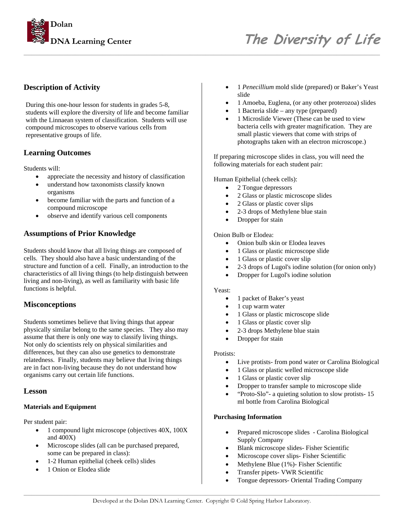

#### **Description of Activity**

During this one-hour lesson for students in grades 5-8, students will explore the diversity of life and become familiar with the Linnaean system of classification. Students will use compound microscopes to observe various cells from representative groups of life.

#### **Learning Outcomes**

Students will:

- appreciate the necessity and history of classification
- understand how taxonomists classify known organisms
- become familiar with the parts and function of a compound microscope
- observe and identify various cell components

#### **Assumptions of Prior Knowledge**

Students should know that all living things are composed of cells. They should also have a basic understanding of the structure and function of a cell. Finally, an introduction to the characteristics of all living things (to help distinguish between living and non-living), as well as familiarity with basic life functions is helpful.

#### **Misconceptions**

Students sometimes believe that living things that appear physically similar belong to the same species. They also may assume that there is only one way to classify living things. Not only do scientists rely on physical similarities and differences, but they can also use genetics to demonstrate relatedness. Finally, students may believe that living things are in fact non-living because they do not understand how organisms carry out certain life functions.

#### **Lesson**

#### **Materials and Equipment**

Per student pair:

- 1 compound light microscope (objectives 40X, 100X) and 400X)
- Microscope slides (all can be purchased prepared, some can be prepared in class):
- 1-2 Human epithelial (cheek cells) slides
- 1 Onion or Elodea slide
- 1 *Penecillium* mold slide (prepared) or Baker's Yeast slide
- 1 Amoeba, Euglena, (or any other proterozoa) slides
- 1 Bacteria slide any type (prepared)
- 1 Microslide Viewer (These can be used to view bacteria cells with greater magnification. They are small plastic viewers that come with strips of photographs taken with an electron microscope.)

If preparing microscope slides in class, you will need the following materials for each student pair:

Human Epithelial (cheek cells):

- 2 Tongue depressors
- 2 Glass or plastic microscope slides
- 2 Glass or plastic cover slips
- 2-3 drops of Methylene blue stain
- Dropper for stain

Onion Bulb or Elodea:

- Onion bulb skin or Elodea leaves
- 1 Glass or plastic microscope slide
- 1 Glass or plastic cover slip
- 2-3 drops of Lugol's iodine solution (for onion only)
- Dropper for Lugol's iodine solution

#### Yeast:

*\_\_\_\_\_\_\_\_\_\_\_\_\_\_\_\_\_\_\_\_\_\_\_\_\_\_\_\_\_\_\_\_\_\_\_\_\_\_\_\_\_\_\_\_\_\_\_\_\_\_\_\_\_\_\_\_\_\_\_\_\_\_\_\_\_\_\_\_\_\_\_\_\_\_\_\_\_\_\_\_\_\_\_\_\_\_\_\_\_\_* 

- 1 packet of Baker's yeast
- 1 cup warm water
- 1 Glass or plastic microscope slide
- 1 Glass or plastic cover slip
- 2-3 drops Methylene blue stain
- Dropper for stain

#### Protists:

- Live protists- from pond water or Carolina Biological
- 1 Glass or plastic welled microscope slide
- 1 Glass or plastic cover slip
- Dropper to transfer sample to microscope slide
- "Proto-Slo"- a quieting solution to slow protists- 15 ml bottle from Carolina Biological

#### **Purchasing Information**

- Prepared microscope slides Carolina Biological Supply Company
- Blank microscope slides- Fisher Scientific
- Microscope cover slips- Fisher Scientific
- Methylene Blue (1%)- Fisher Scientific
- Transfer pipets- VWR Scientific
- Tongue depressors- Oriental Trading Company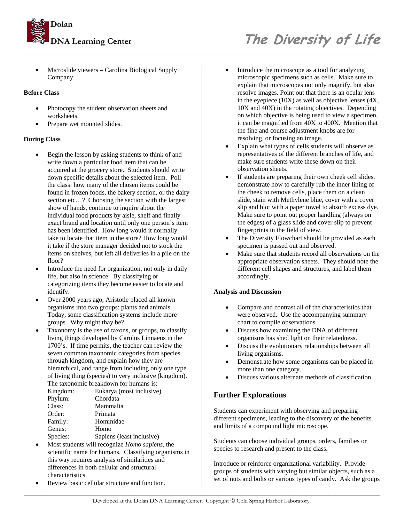

• Microslide viewers – Carolina Biological Supply Company

#### **Before Class**

- Photocopy the student observation sheets and worksheets.
- Prepare wet mounted slides.

#### **During Class**

- Begin the lesson by asking students to think of and write down a particular food item that can be acquired at the grocery store. Students should write down specific details about the selected item. Poll the class: how many of the chosen items could be found in frozen foods, the bakery section, or the dairy section etc...? Choosing the section with the largest show of hands, continue to inquire about the individual food products by aisle, shelf and finally exact brand and location until only one person's item has been identified. How long would it normally take to locate that item in the store? How long would it take if the store manager decided not to stock the items on shelves, but left all deliveries in a pile on the floor?
- Introduce the need for organization, not only in daily life, but also in science. By classifying or categorizing items they become easier to locate and identify.
- Over 2000 years ago, Aristotle placed all known organisms into two groups: plants and animals. Today, some classification systems include more groups. Why might thay be?
- Taxonomy is the use of taxons, or groups, to classify living things developed by Carolus Linnaeus in the 1700's. If time permits, the teacher can review the seven common taxonomic categories from species through kingdom, and explain how they are hierarchical, and range from including only one type of living thing (species) to very inclusive (kingdom). The taxonomic breakdown for humans is:

| Kingdom: | Eukarya (most inclusive)  |
|----------|---------------------------|
| Phylum:  | Chordata                  |
| Class:   | Mammalia                  |
| Order:   | Primata                   |
| Family:  | Hominidae                 |
| Genus:   | Homo                      |
| Species: | Sapiens (least inclusive) |
|          |                           |

- Most students will recognize *Homo sapiens*, the scientific name for humans. Classifying organisms in this way requires analysis of similarities and differences in both cellular and structural characteristics.
- Review basic cellular structure and function.
- Introduce the microscope as a tool for analyzing microscopic specimens such as cells. Make sure to explain that microscopes not only magnify, but also resolve images. Point out that there is an ocular lens in the eyepiece (10X) as well as objective lenses (4X, 10X and 40X) in the rotating objectives. Depending on which objective is being used to view a specimen, it can be magnified from 40X to 400X. Mention that the fine and course adjustment knobs are for resolving, or focusing an image.
- Explain what types of cells students will observe as representatives of the different branches of life, and make sure students write these down on their observation sheets.
- If students are preparing their own cheek cell slides, demonstrate how to carefully rub the inner lining of the cheek to remove cells, place them on a clean slide, stain with Methylene blue, cover with a cover slip and blot with a paper towel to absorb excess dye. Make sure to point out proper handling (always on the edges) of a glass slide and cover slip to prevent fingerprints in the field of view.
- The Diversity Flowchart should be provided as each specimen is passed out and observed.
- Make sure that students record all observations on the appropriate observation sheets. They should note the different cell shapes and structures, and label them accordingly.

#### **Analysis and Discussion**

- Compare and contrast all of the characteristics that were observed. Use the accompanying summary chart to compile observations.
- Discuss how examining the DNA of different organisms has shed light on their relatedness.
- Discuss the evolutionary relationships between all living organisms.
- Demonstrate how some organisms can be placed in more than one category.
- Discuss various alternate methods of classification.

#### **Further Explorations**

Students can experiment with observing and preparing different specimens, leading to the discovery of the benefits and limits of a compound light microscope.

Students can choose individual groups, orders, families or species to research and present to the class.

Introduce or reinforce organizational variability. Provide groups of students with varying but similar objects, such as a set of nuts and bolts or various types of candy. Ask the groups

*\_\_\_\_\_\_\_\_\_\_\_\_\_\_\_\_\_\_\_\_\_\_\_\_\_\_\_\_\_\_\_\_\_\_\_\_\_\_\_\_\_\_\_\_\_\_\_\_\_\_\_\_\_\_\_\_\_\_\_\_\_\_\_\_\_\_\_\_\_\_\_\_\_\_\_\_\_\_\_\_\_\_\_\_\_\_\_\_\_\_*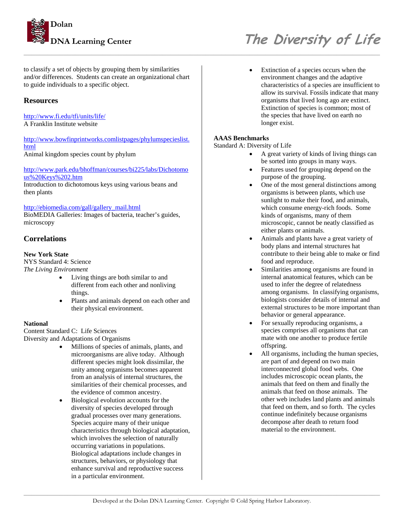

to classify a set of objects by grouping them by similarities and/or differences. Students can create an organizational chart to guide individuals to a specific object.

#### **Resources**

<http://www.fi.edu/tfi/units/life/> A Franklin Institute website

[http://www.bowfinprintworks.comlistpages/phylumspecieslist.](http://www.bowfinprintworks.comlistpages/phylumspecieslist.html) [html](http://www.bowfinprintworks.comlistpages/phylumspecieslist.html)

Animal kingdom species count by phylum

[http://www.park.edu/bhoffman/courses/bi225/labs/Dichotomo](http://www.park.edu/bhoffman/courses/bi225/labs/Dichotomous%20Keys%202.htm) [us%20Keys%202.htm](http://www.park.edu/bhoffman/courses/bi225/labs/Dichotomous%20Keys%202.htm)

Introduction to dichotomous keys using various beans and then plants

#### [http://ebiomedia.com/gall/gallery\\_mail.html](http://ebiomedia.com/gall/gallery_mail.html)

BioMEDIA Galleries: Images of bacteria, teacher's guides, microscopy

#### **Correlations**

#### **New York State**

NYS Standard 4: Science *The Living Environment*

- Living things are both similar to and different from each other and nonliving things.
- Plants and animals depend on each other and their physical environment.

#### **National**

Content Standard C: Life Sciences Diversity and Adaptations of Organisms

- Millions of species of animals, plants, and microorganisms are alive today. Although different species might look dissimilar, the unity among organisms becomes apparent from an analysis of internal structures, the similarities of their chemical processes, and the evidence of common ancestry.
- Biological evolution accounts for the diversity of species developed through gradual processes over many generations. Species acquire many of their unique characteristics through biological adaptation, which involves the selection of naturally occurring variations in populations. Biological adaptations include changes in structures, behaviors, or physiology that enhance survival and reproductive success in a particular environment.

Extinction of a species occurs when the environment changes and the adaptive characteristics of a species are insufficient to allow its survival. Fossils indicate that many organisms that lived long ago are extinct. Extinction of species is common; most of the species that have lived on earth no longer exist.

#### **AAAS Benchmarks**

*\_\_\_\_\_\_\_\_\_\_\_\_\_\_\_\_\_\_\_\_\_\_\_\_\_\_\_\_\_\_\_\_\_\_\_\_\_\_\_\_\_\_\_\_\_\_\_\_\_\_\_\_\_\_\_\_\_\_\_\_\_\_\_\_\_\_\_\_\_\_\_\_\_\_\_\_\_\_\_\_\_\_\_\_\_\_\_\_\_\_* 

Standard A: Diversity of Life

- A great variety of kinds of living things can be sorted into groups in many ways.
- Features used for grouping depend on the purpose of the grouping.
- One of the most general distinctions among organisms is between plants, which use sunlight to make their food, and animals, which consume energy-rich foods. Some kinds of organisms, many of them microscopic, cannot be neatly classified as either plants or animals.
- Animals and plants have a great variety of body plans and internal structures hat contribute to their being able to make or find food and reproduce.
- Similarities among organisms are found in internal anatomical features, which can be used to infer the degree of relatedness among organisms. In classifying organisms, biologists consider details of internal and external structures to be more important than behavior or general appearance.
- For sexually reproducing organisms, a species comprises all organisms that can mate with one another to produce fertile offspring.
- All organisms, including the human species, are part of and depend on two main interconnected global food webs. One includes microscopic ocean plants, the animals that feed on them and finally the animals that feed on those animals. The other web includes land plants and animals that feed on them, and so forth. The cycles continue indefinitely because organisms decompose after death to return food material to the environment.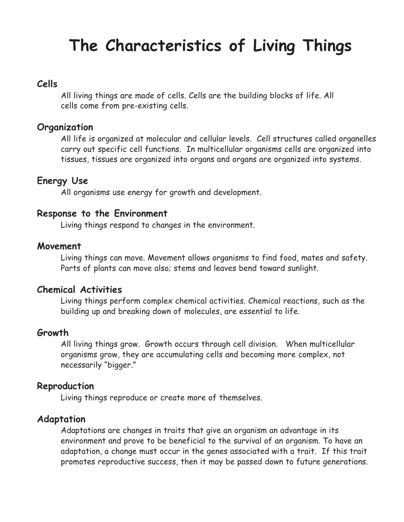# **The Characteristics of Living Things**

## **Cells**

All living things are made of cells. Cells are the building blocks of life. All cells come from pre-existing cells.

## **Organization**

All life is organized at molecular and cellular levels. Cell structures called organelles carry out specific cell functions. In multicellular organisms cells are organized into tissues, tissues are organized into organs and organs are organized into systems.

## **Energy Use**

All organisms use energy for growth and development.

## **Response to the Environment**

Living things respond to changes in the environment.

## **Movement**

Living things can move. Movement allows organisms to find food, mates and safety. Parts of plants can move also; stems and leaves bend toward sunlight.

## **Chemical Activities**

Living things perform complex chemical activities. Chemical reactions, such as the building up and breaking down of molecules, are essential to life.

## **Growth**

All living things grow. Growth occurs through cell division. When multicellular organisms grow, they are accumulating cells and becoming more complex, not necessarily "bigger."

## **Reproduction**

Living things reproduce or create more of themselves.

## **Adaptation**

Adaptations are changes in traits that give an organism an advantage in its environment and prove to be beneficial to the survival of an organism. To have an adaptation, a change must occur in the genes associated with a trait. If this trait promotes reproductive success, then it may be passed down to future generations.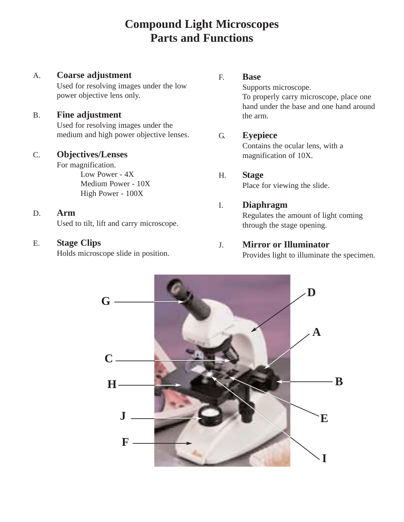# **Compound Light Microscopes Parts and Functions**

## A. **Coarse adjustment**

Used for resolving images under the low power objective lens only.

## B. **Fine adjustment**

Used for resolving images under the medium and high power objective lenses.

## C. **Objectives/Lenses**

For magnification. Low Power - 4X Medium Power - 10X High Power - 100X

## D. **Arm**

Used to tilt, lift and carry microscope.

## E. **Stage Clips**

Holds microscope slide in position.

## F. **Base**

Supports microscope. To properly carry microscope, place one hand under the base and one hand around the arm.

## G. **Eyepiece**

Contains the ocular lens, with a magnification of 10X.

## H. **Stage**

Place for viewing the slide.

## I. **Diaphragm**

Regulates the amount of light coming through the stage opening.

## J. **Mirror or Illuminator**

Provides light to illuminate the specimen.

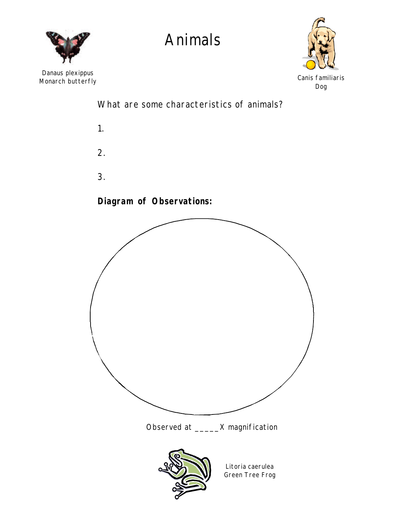

Animals

*Danaus plexippus* Monarch butterfly *Canis familiaris*





## **Diagram of Observations:**

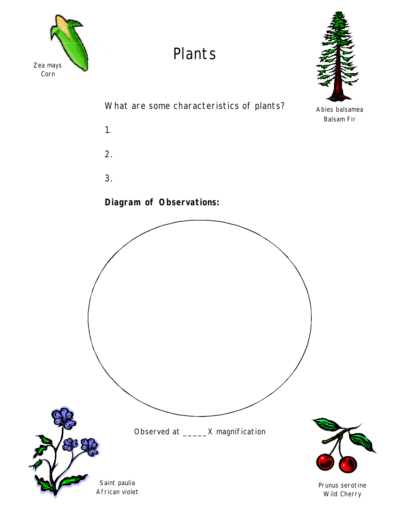

# Plants



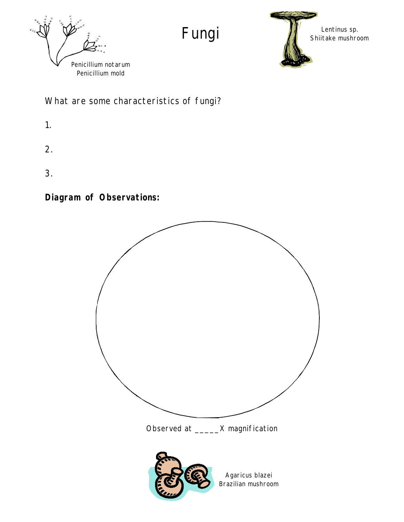

Fungi



## What are some characteristics of fungi?

- 1.
- 
- 2.
- 3.

## **Diagram of Observations:**

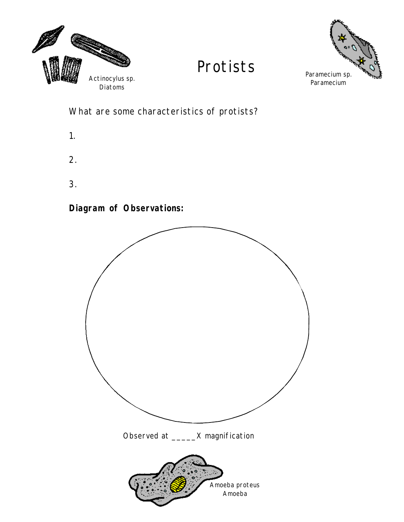

# Protists



What are some characteristics of protists?

- 1.
- 2.
- 3.

## **Diagram of Observations:**